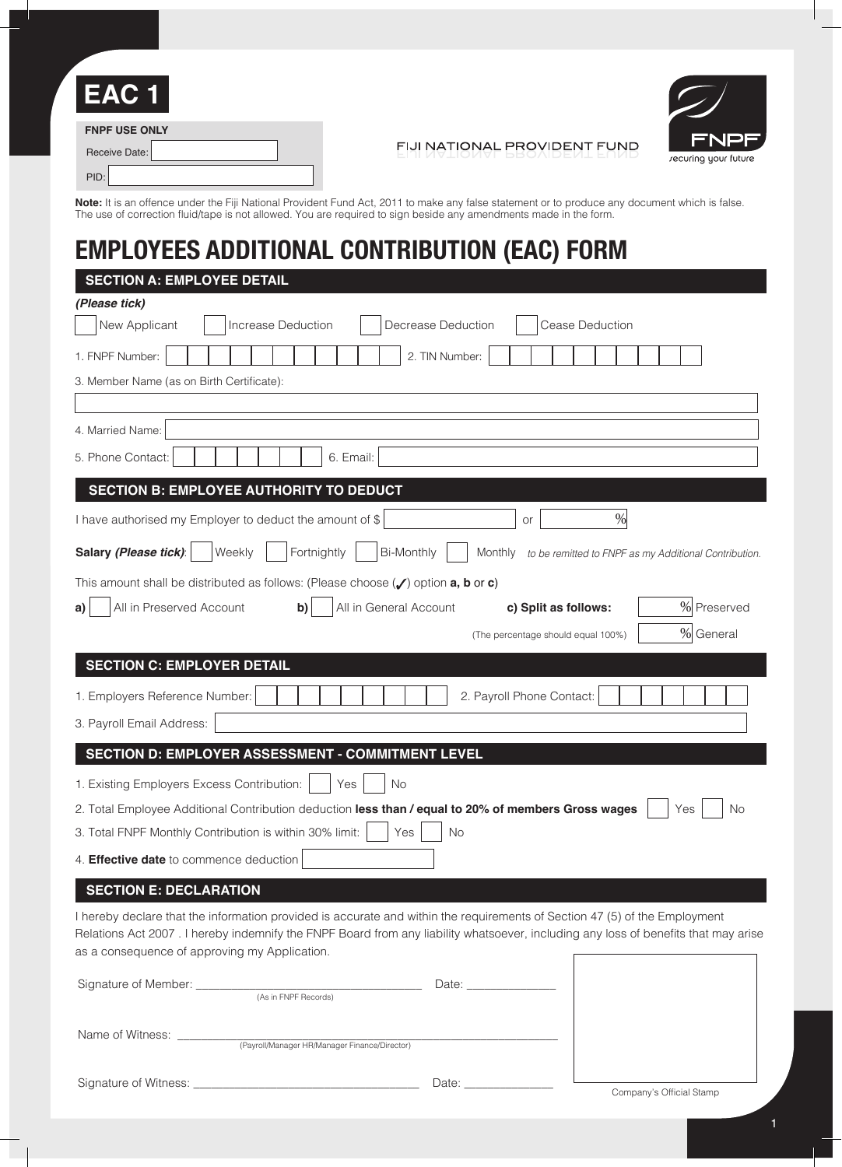| EAC <sub>1</sub>                                                                                                  |                                                                                                                                                       |                          |
|-------------------------------------------------------------------------------------------------------------------|-------------------------------------------------------------------------------------------------------------------------------------------------------|--------------------------|
| <b>FNPF USE ONLY</b><br>Receive Date:                                                                             | FIJI NATIONAL PROVIDENT FUND                                                                                                                          | FNP<br>recuring your fut |
| PID:                                                                                                              |                                                                                                                                                       |                          |
| The use of correction fluid/tape is not allowed. You are required to sign beside any amendments made in the form. | <b>Note:</b> It is an offence under the Fiji National Provident Fund Act, 2011 to make any false statement or to produce any document which is false. |                          |

# **EMPLOYEES ADDITIONAL CONTRIBUTION (EAC) FORM**

| <b>SECTION A: EMPLOYEE DETAIL</b>          |                                                                                                                                                                                     |
|--------------------------------------------|-------------------------------------------------------------------------------------------------------------------------------------------------------------------------------------|
| (Please tick)                              |                                                                                                                                                                                     |
| New Applicant                              | Increase Deduction<br>Decrease Deduction<br><b>Cease Deduction</b>                                                                                                                  |
| 1. FNPF Number:                            | 2. TIN Number:                                                                                                                                                                      |
| 3. Member Name (as on Birth Certificate):  |                                                                                                                                                                                     |
|                                            |                                                                                                                                                                                     |
| 4. Married Name:                           |                                                                                                                                                                                     |
| 5. Phone Contact:                          | 6. Email:                                                                                                                                                                           |
|                                            | <b>SECTION B: EMPLOYEE AUTHORITY TO DEDUCT</b>                                                                                                                                      |
|                                            | $\%$<br>I have authorised my Employer to deduct the amount of \$<br>or                                                                                                              |
| Salary (Please tick):                      | Fortnightly<br><b>Bi-Monthly</b><br>Weekly<br>Monthly<br>to be remitted to FNPF as my Additional Contribution.                                                                      |
|                                            | This amount shall be distributed as follows: (Please choose $(\checkmark)$ option <b>a</b> , <b>b</b> or <b>c</b> )                                                                 |
| All in Preserved Account<br>a)             | % Preserved<br>All in General Account<br>c) Split as follows:<br>b)                                                                                                                 |
|                                            | % General<br>(The percentage should equal 100%)                                                                                                                                     |
| <b>SECTION C: EMPLOYER DETAIL</b>          |                                                                                                                                                                                     |
| 1. Employers Reference Number:             | 2. Payroll Phone Contact:                                                                                                                                                           |
|                                            |                                                                                                                                                                                     |
| 3. Payroll Email Address:                  |                                                                                                                                                                                     |
|                                            | SECTION D: EMPLOYER ASSESSMENT - COMMITMENT LEVEL                                                                                                                                   |
| 1. Existing Employers Excess Contribution: | No<br>Yes                                                                                                                                                                           |
|                                            | 2. Total Employee Additional Contribution deduction less than / equal to 20% of members Gross wages<br><b>No</b><br>Yes                                                             |
|                                            | 3. Total FNPF Monthly Contribution is within 30% limit:<br>No<br>Yes                                                                                                                |
| 4. Effective date to commence deduction    |                                                                                                                                                                                     |
| <b>SECTION E: DECLARATION</b>              |                                                                                                                                                                                     |
|                                            | I hereby declare that the information provided is accurate and within the requirements of Section 47 (5) of the Employment                                                          |
|                                            | Relations Act 2007. I hereby indemnify the FNPF Board from any liability whatsoever, including any loss of benefits that may arise<br>as a consequence of approving my Application. |
|                                            |                                                                                                                                                                                     |
|                                            |                                                                                                                                                                                     |
| Name of Witness: _________                 | (Payroll/Manager HR/Manager Finance/Director)                                                                                                                                       |
|                                            |                                                                                                                                                                                     |

Signature of Witness: \_\_\_\_\_\_\_\_\_\_\_\_\_\_\_\_\_\_\_\_\_\_\_\_\_\_\_\_\_\_\_\_\_\_\_\_\_\_ Date: \_\_\_\_\_\_\_\_\_\_\_\_\_\_\_

Company's Official Stamp